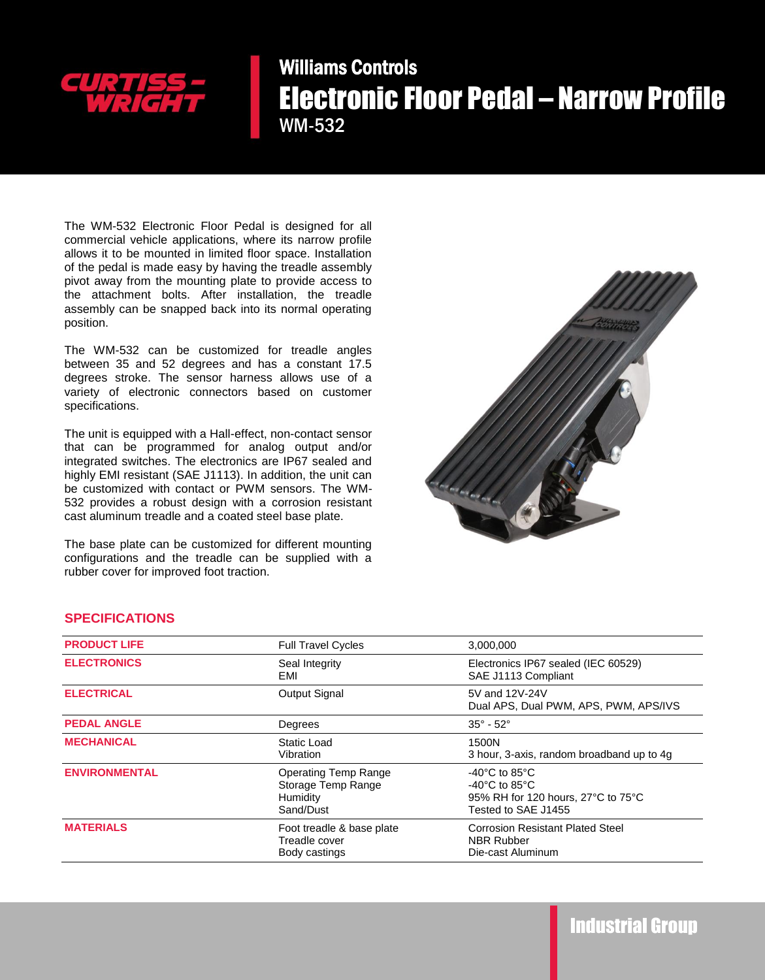

## Williams Controls Electronic Floor Pedal – Narrow Profile WM-532

The WM-532 Electronic Floor Pedal is designed for all commercial vehicle applications, where its narrow profile allows it to be mounted in limited floor space. Installation of the pedal is made easy by having the treadle assembly pivot away from the mounting plate to provide access to the attachment bolts. After installation, the treadle assembly can be snapped back into its normal operating position.

The WM-532 can be customized for treadle angles between 35 and 52 degrees and has a constant 17.5 degrees stroke. The sensor harness allows use of a variety of electronic connectors based on customer specifications.

The unit is equipped with a Hall-effect, non-contact sensor that can be programmed for analog output and/or integrated switches. The electronics are IP67 sealed and highly EMI resistant (SAE J1113). In addition, the unit can be customized with contact or PWM sensors. The WM-532 provides a robust design with a corrosion resistant cast aluminum treadle and a coated steel base plate.

The base plate can be customized for different mounting configurations and the treadle can be supplied with a rubber cover for improved foot traction.



## **SPECIFICATIONS**

| <b>PRODUCT LIFE</b>  | <b>Full Travel Cycles</b>                                                  | 3,000,000                                                                                                                             |
|----------------------|----------------------------------------------------------------------------|---------------------------------------------------------------------------------------------------------------------------------------|
| <b>ELECTRONICS</b>   | Seal Integrity<br>EMI                                                      | Electronics IP67 sealed (IEC 60529)<br>SAE J1113 Compliant                                                                            |
| <b>ELECTRICAL</b>    | <b>Output Signal</b>                                                       | 5V and 12V-24V<br>Dual APS, Dual PWM, APS, PWM, APS/IVS                                                                               |
| <b>PEDAL ANGLE</b>   | Degrees                                                                    | $35^{\circ} - 52^{\circ}$                                                                                                             |
| <b>MECHANICAL</b>    | Static Load<br>Vibration                                                   | 1500N<br>3 hour, 3-axis, random broadband up to 4g                                                                                    |
| <b>ENVIRONMENTAL</b> | <b>Operating Temp Range</b><br>Storage Temp Range<br>Humidity<br>Sand/Dust | $-40^{\circ}$ C to 85 $^{\circ}$ C<br>$-40^{\circ}$ C to 85 $^{\circ}$ C<br>95% RH for 120 hours, 27°C to 75°C<br>Tested to SAE J1455 |
| <b>MATERIALS</b>     | Foot treadle & base plate<br>Treadle cover<br>Body castings                | <b>Corrosion Resistant Plated Steel</b><br><b>NBR Rubber</b><br>Die-cast Aluminum                                                     |